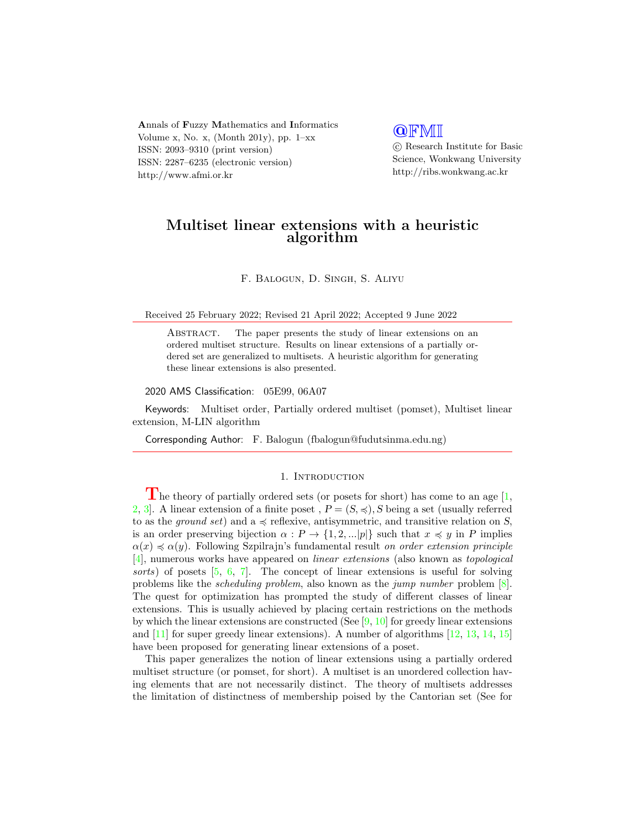Annals of Fuzzy Mathematics and Informatics Volume x, No. x, (Month 201y), pp.  $1-xx$ ISSN: 2093–9310 (print version) ISSN: 2287–6235 (electronic version) http://www.afmi.or.kr

# **QFMI**

 c Research Institute for Basic Science, Wonkwang University http://ribs.wonkwang.ac.kr

## Multiset linear extensions with a heuristic algorithm

F. Balogun, D. Singh, S. Aliyu

Received 25 February 2022; Revised 21 April 2022; Accepted 9 June 2022

ABSTRACT. The paper presents the study of linear extensions on an ordered multiset structure. Results on linear extensions of a partially ordered set are generalized to multisets. A heuristic algorithm for generating these linear extensions is also presented.

2020 AMS Classification: 05E99, 06A07

Keywords: Multiset order, Partially ordered multiset (pomset), Multiset linear extension, M-LIN algorithm

Corresponding Author: F. Balogun (fbalogun@fudutsinma.edu.ng)

#### 1. INTRODUCTION

The theory of partially ordered sets (or posets for short) has come to an age  $[1,$ [2,](#page-6-1) 3. A linear extension of a finite poset,  $P = (S, \preccurlyeq), S$  being a set (usually referred to as the *ground set*) and a  $\leq$  reflexive, antisymmetric, and transitive relation on S, is an order preserving bijection  $\alpha : P \to \{1, 2, ...\vert p \vert\}$  such that  $x \preccurlyeq y$  in P implies  $\alpha(x) \preccurlyeq \alpha(y)$ . Following Szpilrajn's fundamental result on order extension principle [\[4\]](#page-6-3), numerous works have appeared on linear extensions (also known as topological sorts) of posets [\[5,](#page-6-4) [6,](#page-6-5) [7\]](#page-6-6). The concept of linear extensions is useful for solving problems like the scheduling problem, also known as the jump number problem [\[8\]](#page-6-7). The quest for optimization has prompted the study of different classes of linear extensions. This is usually achieved by placing certain restrictions on the methods by which the linear extensions are constructed (See  $[9, 10]$  $[9, 10]$  $[9, 10]$  for greedy linear extensions and  $[11]$  for super greedy linear extensions). A number of algorithms  $[12, 13, 14, 15]$  $[12, 13, 14, 15]$  $[12, 13, 14, 15]$  $[12, 13, 14, 15]$  $[12, 13, 14, 15]$  $[12, 13, 14, 15]$  $[12, 13, 14, 15]$ have been proposed for generating linear extensions of a poset.

This paper generalizes the notion of linear extensions using a partially ordered multiset structure (or pomset, for short). A multiset is an unordered collection having elements that are not necessarily distinct. The theory of multisets addresses the limitation of distinctness of membership poised by the Cantorian set (See for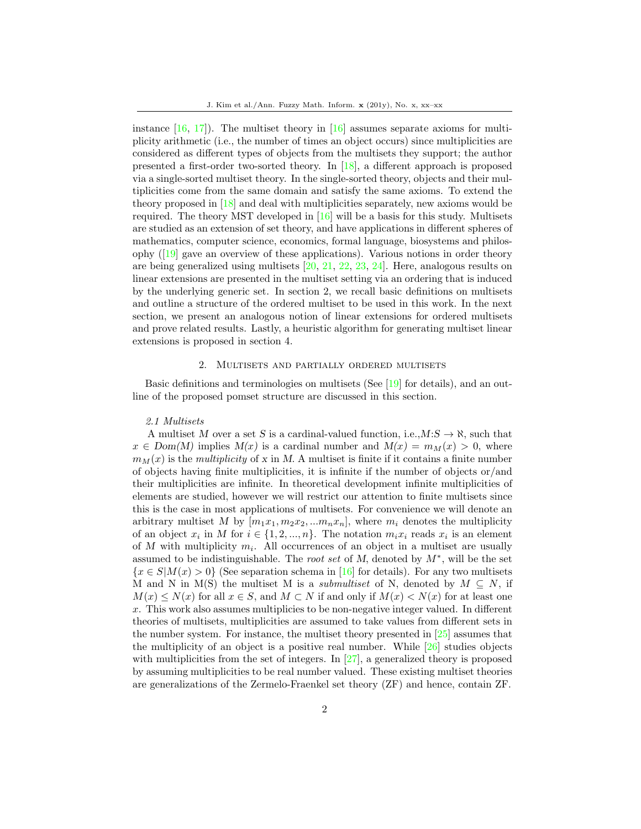instance  $[16, 17]$  $[16, 17]$  $[16, 17]$ . The multiset theory in  $[16]$  assumes separate axioms for multiplicity arithmetic (i.e., the number of times an object occurs) since multiplicities are considered as different types of objects from the multisets they support; the author presented a first-order two-sorted theory. In [\[18\]](#page-6-17), a different approach is proposed via a single-sorted multiset theory. In the single-sorted theory, objects and their multiplicities come from the same domain and satisfy the same axioms. To extend the theory proposed in [\[18\]](#page-6-17) and deal with multiplicities separately, new axioms would be required. The theory MST developed in [\[16\]](#page-6-15) will be a basis for this study. Multisets are studied as an extension of set theory, and have applications in different spheres of mathematics, computer science, economics, formal language, biosystems and philosophy  $(19)$  gave an overview of these applications). Various notions in order theory are being generalized using multisets [\[20,](#page-6-19) [21,](#page-6-20) [22,](#page-6-21) [23,](#page-7-0) [24\]](#page-7-1). Here, analogous results on linear extensions are presented in the multiset setting via an ordering that is induced by the underlying generic set. In section 2, we recall basic definitions on multisets and outline a structure of the ordered multiset to be used in this work. In the next section, we present an analogous notion of linear extensions for ordered multisets and prove related results. Lastly, a heuristic algorithm for generating multiset linear extensions is proposed in section 4.

#### 2. Multisets and partially ordered multisets

Basic definitions and terminologies on multisets (See [\[19\]](#page-6-18) for details), and an outline of the proposed pomset structure are discussed in this section.

#### 2.1 Multisets

A multiset M over a set S is a cardinal-valued function, i.e.,  $M: S \to \aleph$ , such that  $x \in Dom(M)$  implies  $M(x)$  is a cardinal number and  $M(x) = m_M(x) > 0$ , where  $m_M(x)$  is the multiplicity of x in M. A multiset is finite if it contains a finite number of objects having finite multiplicities, it is infinite if the number of objects or/and their multiplicities are infinite. In theoretical development infinite multiplicities of elements are studied, however we will restrict our attention to finite multisets since this is the case in most applications of multisets. For convenience we will denote an arbitrary multiset M by  $[m_1x_1, m_2x_2, ... m_nx_n]$ , where  $m_i$  denotes the multiplicity of an object  $x_i$  in M for  $i \in \{1, 2, ..., n\}$ . The notation  $m_i x_i$  reads  $x_i$  is an element of M with multiplicity  $m_i$ . All occurrences of an object in a multiset are usually assumed to be indistinguishable. The root set of M, denoted by  $M^*$ , will be the set  ${x \in S|M(x) > 0}$  (See separation schema in [\[16\]](#page-6-15) for details). For any two multisets M and N in M(S) the multiset M is a *submultiset* of N, denoted by  $M \subseteq N$ , if  $M(x) \leq N(x)$  for all  $x \in S$ , and  $M \subset N$  if and only if  $M(x) \leq N(x)$  for at least one  $x$ . This work also assumes multiplicies to be non-negative integer valued. In different theories of multisets, multiplicities are assumed to take values from different sets in the number system. For instance, the multiset theory presented in [\[25\]](#page-7-2) assumes that the multiplicity of an object is a positive real number. While  $[26]$  studies objects with multiplicities from the set of integers. In  $[27]$ , a generalized theory is proposed by assuming multiplicities to be real number valued. These existing multiset theories are generalizations of the Zermelo-Fraenkel set theory (ZF) and hence, contain ZF.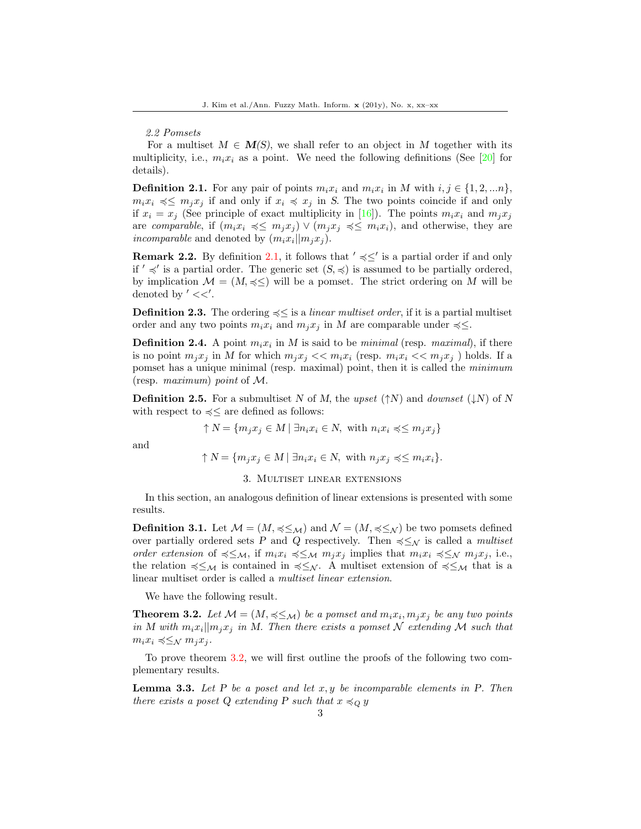#### 2.2 Pomsets

For a multiset  $M \in M(S)$ , we shall refer to an object in M together with its multiplicity, i.e.,  $m_i x_i$  as a point. We need the following definitions (See [\[20\]](#page-6-19) for details).

<span id="page-2-0"></span>**Definition 2.1.** For any pair of points  $m_i x_i$  and  $m_i x_i$  in M with  $i, j \in \{1, 2, \ldots n\}$ ,  $m_i x_i \preccurlyeq \leq m_j x_j$  if and only if  $x_i \preccurlyeq x_j$  in S. The two points coincide if and only if  $x_i = x_j$  (See principle of exact multiplicity in [\[16\]](#page-6-15)). The points  $m_i x_i$  and  $m_i x_j$ are comparable, if  $(m_ix_i \preccurlyeq \leq m_ix_j) \vee (m_ix_j \preccurlyeq \leq m_ix_i)$ , and otherwise, they are incomparable and denoted by  $(m_i x_i || m_j x_j)$ .

**Remark 2.2.** By definition [2.1,](#page-2-0) it follows that  $\prime \leq \leq \prime$  is a partial order if and only if  $\prime \preccurlyeq'$  is a partial order. The generic set  $(S, \preccurlyeq)$  is assumed to be partially ordered, by implication  $\mathcal{M} = (M, \preccurlyeq \leq)$  will be a pomset. The strict ordering on M will be denoted by  $\prime \ll \prime$ .

**Definition 2.3.** The ordering  $\leq \leq$  is a *linear multiset order*, if it is a partial multiset order and any two points  $m_i x_i$  and  $m_j x_j$  in M are comparable under  $\preccurlyeq \leq$ .

**Definition 2.4.** A point  $m_i x_i$  in M is said to be *minimal* (resp. *maximal*), if there is no point  $m_jx_j$  in M for which  $m_jx_j \ll m_ix_i$  (resp.  $m_ix_i \ll m_jx_j$ ) holds. If a pomset has a unique minimal (resp. maximal) point, then it is called the minimum (resp. maximum) point of M.

**Definition 2.5.** For a submultiset N of M, the upset ( $\uparrow$ N) and downset ( $\downarrow$ N) of N with respect to  $\leq$  are defined as follows:

 $\uparrow N = \{m_j x_j \in M \mid \exists n_i x_i \in N, \text{ with } n_i x_i \leq m_j x_j\}$ 

and

 $\uparrow N = \{m_i x_i \in M \mid \exists n_i x_i \in N, \text{ with } n_i x_i \leq m_i x_i\}.$ 

#### 3. Multiset linear extensions

In this section, an analogous definition of linear extensions is presented with some results.

**Definition 3.1.** Let  $\mathcal{M} = (M, \preccurlyeq \leq_{\mathcal{M}})$  and  $\mathcal{N} = (M, \preccurlyeq \leq_{\mathcal{N}})$  be two pomsets defined over partially ordered sets P and Q respectively. Then  $\preccurlyeq \leq_N$  is called a multiset order extension of  $\preccurlyeq \leq_{\mathcal{M}}$ , if  $m_i x_i \preccurlyeq \leq_{\mathcal{M}} m_j x_j$  implies that  $m_i x_i \preccurlyeq \leq_{\mathcal{N}} m_j x_j$ , i.e., the relation  $\preccurlyeq \leq_M$  is contained in  $\preccurlyeq \leq_N$ . A multiset extension of  $\preccurlyeq \leq_M$  that is a linear multiset order is called a multiset linear extension.

We have the following result.

<span id="page-2-1"></span>**Theorem 3.2.** Let  $M = (M, \preccurlyeq \leq_M)$  be a pomset and  $m_i x_i, m_j x_j$  be any two points in M with  $m_i x_i || m_j x_j$  in M. Then there exists a pomset N extending M such that  $m_i x_i \preccurlyeq \leq_N m_i x_i$ .

To prove theorem [3.2,](#page-2-1) we will first outline the proofs of the following two complementary results.

<span id="page-2-2"></span>**Lemma 3.3.** Let P be a poset and let  $x, y$  be incomparable elements in P. Then there exists a poset Q extending P such that  $x \preccurlyeq_{\mathcal{Q}} y$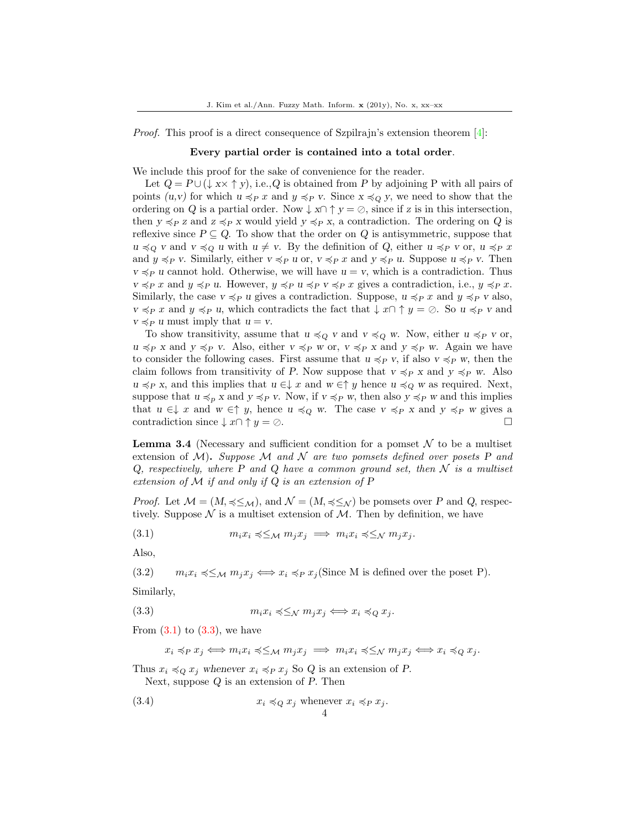Proof. This proof is a direct consequence of Szpilrajn's extension theorem [\[4\]](#page-6-3):

#### Every partial order is contained into a total order.

We include this proof for the sake of convenience for the reader.

Let  $Q = P \cup (\downarrow x \times \uparrow y)$ , i.e., Q is obtained from P by adjoining P with all pairs of points  $(u, v)$  for which  $u \preccurlyeq_{P} x$  and  $y \preccurlyeq_{P} v$ . Since  $x \preccurlyeq_{Q} y$ , we need to show that the ordering on Q is a partial order. Now  $\downarrow x \cap \uparrow y = \emptyset$ , since if z is in this intersection, then  $y \preccurlyeq_{P} z$  and  $z \preccurlyeq_{P} x$  would yield  $y \preccurlyeq_{P} x$ , a contradiction. The ordering on Q is reflexive since  $P \subseteq Q$ . To show that the order on Q is antisymmetric, suppose that  $u \preccurlyeq_Q v$  and  $v \preccurlyeq_Q u$  with  $u \neq v$ . By the definition of Q, either  $u \preccurlyeq_P v$  or,  $u \preccurlyeq_P x$ and  $y \preccurlyeq_P v$ . Similarly, either  $v \preccurlyeq_P u$  or,  $v \preccurlyeq_P x$  and  $y \preccurlyeq_P u$ . Suppose  $u \preccurlyeq_P v$ . Then  $v \preccurlyeq_{P} u$  cannot hold. Otherwise, we will have  $u = v$ , which is a contradiction. Thus  $v \preccurlyeq_P x$  and  $y \preccurlyeq_P u$ . However,  $y \preccurlyeq_P u \preccurlyeq_P x$  gives a contradiction, i.e.,  $y \preccurlyeq_P x$ . Similarly, the case  $v \preccurlyeq_{P} u$  gives a contradiction. Suppose,  $u \preccurlyeq_{P} x$  and  $y \preccurlyeq_{P} v$  also,  $v \preccurlyeq_P x$  and  $y \preccurlyeq_P u$ , which contradicts the fact that  $\downarrow x \cap \uparrow y = \emptyset$ . So  $u \preccurlyeq_P v$  and  $v \preccurlyeq_P u$  must imply that  $u = v$ .

To show transitivity, assume that  $u \preccurlyeq_Q v$  and  $v \preccurlyeq_Q w$ . Now, either  $u \preccurlyeq_P v$  or,  $u \preccurlyeq_{P} x$  and  $y \preccurlyeq_{P} v$ . Also, either  $v \preccurlyeq_{P} w$  or,  $v \preccurlyeq_{P} x$  and  $y \preccurlyeq_{P} w$ . Again we have to consider the following cases. First assume that  $u \preccurlyeq_{P} v$ , if also  $v \preccurlyeq_{P} w$ , then the claim follows from transitivity of P. Now suppose that  $v \preccurlyeq_{P} x$  and  $y \preccurlyeq_{P} w$ . Also  $u \preccurlyeq_P x$ , and this implies that  $u \in \downarrow x$  and  $w \in \uparrow y$  hence  $u \preccurlyeq_Q w$  as required. Next, suppose that  $u \preccurlyeq_{P} x$  and  $y \preccurlyeq_{P} v$ . Now, if  $v \preccurlyeq_{P} w$ , then also  $y \preccurlyeq_{P} w$  and this implies that  $u \in \downarrow x$  and  $w \in \uparrow y$ , hence  $u \preccurlyeq_Q w$ . The case  $v \preccurlyeq_P x$  and  $y \preccurlyeq_P w$  gives a contradiction since  $\downarrow x \cap \uparrow y = \emptyset$ .

<span id="page-3-0"></span>**Lemma 3.4** (Necessary and sufficient condition for a pomset  $\mathcal N$  to be a multiset extension of  $M$ ). Suppose M and N are two pomsets defined over posets P and  $Q$ , respectively, where P and Q have a common ground set, then  $N$  is a multiset extension of  $\mathcal M$  if and only if  $Q$  is an extension of  $P$ 

*Proof.* Let  $\mathcal{M} = (M, \preccurlyeq \leq_{\mathcal{M}})$ , and  $\mathcal{N} = (M, \preccurlyeq \leq_{\mathcal{N}})$  be pomsets over P and Q, respectively. Suppose  $\mathcal N$  is a multiset extension of  $\mathcal M$ . Then by definition, we have

(3.1) 
$$
m_i x_i \preccurlyeq \leq_{\mathcal{M}} m_j x_j \implies m_i x_i \preccurlyeq \leq_{\mathcal{N}} m_j x_j.
$$

Also,

(3.2)  $m_i x_i \preccurlyeq \leq_M m_i x_j \Longleftrightarrow x_i \preccurlyeq_P x_j$  (Since M is defined over the poset P).

Similarly,

(3.3) 
$$
m_i x_i \preccurlyeq \leq_{\mathcal{N}} m_j x_j \Longleftrightarrow x_i \preccurlyeq_{Q} x_j.
$$

From  $(3.1)$  to  $(3.3)$ , we have

$$
x_i \preccurlyeq_P x_j \iff m_i x_i \preccurlyeq \leq_M m_j x_j \implies m_i x_i \preccurlyeq \leq_N m_j x_j \iff x_i \preccurlyeq_Q x_j.
$$

Thus  $x_i \preccurlyeq_Q x_j$  whenever  $x_i \preccurlyeq_P x_j$  So Q is an extension of P. Next, suppose  $Q$  is an extension of  $P$ . Then

(3.4) 
$$
x_i \preccurlyeq_Q x_j \text{ whenever } x_i \preccurlyeq_P x_j.
$$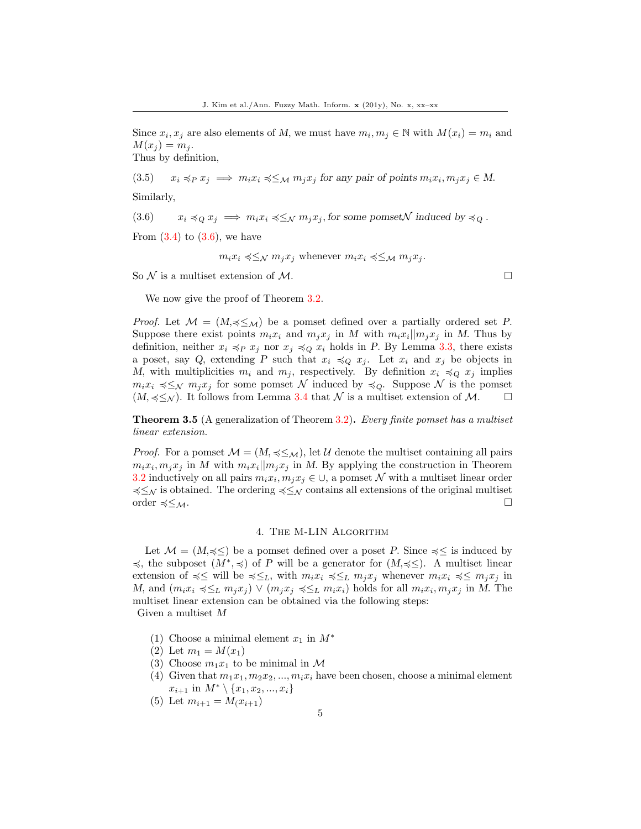Since  $x_i, x_j$  are also elements of M, we must have  $m_i, m_j \in \mathbb{N}$  with  $M(x_i) = m_i$  and  $M(x_i) = m_i$ .

Thus by definition,

(3.5)  $x_i \preccurlyeq_P x_j \implies m_i x_i \preccurlyeq \leq_M m_j x_j$  for any pair of points  $m_i x_i, m_j x_j \in M$ . Similarly,

 $(3.6)$   $x_i \preccurlyeq_Q x_j \implies m_i x_i \preccurlyeq_{\mathcal{N}} m_j x_j$ , for some pomset  $\mathcal N$  induced by  $\preccurlyeq_Q$ .

From  $(3.4)$  to  $(3.6)$ , we have

 $m_i x_i \preccurlyeq \leq_N m_i x_i$  whenever  $m_i x_i \preccurlyeq \leq_M m_i x_i$ .

So  $\mathcal N$  is a multiset extension of  $\mathcal M$ .

We now give the proof of Theorem  $3.2$ .

*Proof.* Let  $M = (M, \preccurlyeq \leq_M)$  be a pomset defined over a partially ordered set P. Suppose there exist points  $m_i x_i$  and  $m_j x_j$  in M with  $m_i x_i || m_j x_j$  in M. Thus by definition, neither  $x_i \preccurlyeq_P x_j$  nor  $x_j \preccurlyeq_Q x_i$  holds in P. By Lemma [3.3,](#page-2-2) there exists a poset, say Q, extending P such that  $x_i \preccurlyeq_Q x_j$ . Let  $x_i$  and  $x_j$  be objects in M, with multiplicities  $m_i$  and  $m_j$ , respectively. By definition  $x_i \preccurlyeq_Q x_j$  implies  $m_i x_i \preccurlyeq \leq_N m_j x_j$  for some pomset N induced by  $\preccurlyeq_Q$ . Suppose N is the pomset  $(M, \preccurlyeq \leq_N)$ . It follows from Lemma [3.4](#page-3-0) that N is a multiset extension of M.  $\square$ 

Theorem 3.5 (A generalization of Theorem [3.2\)](#page-2-1). Every finite pomset has a multiset linear extension.

*Proof.* For a pomset  $M = (M, \leq \leq_M)$ , let U denote the multiset containing all pairs  $m_i x_i, m_j x_j$  in M with  $m_i x_i || m_j x_j$  in M. By applying the construction in Theorem [3.2](#page-2-1) inductively on all pairs  $m_i x_i, m_j x_j \in \bigcup$ , a pomset N with a multiset linear order  $\preccurlyeq \leq_N$  is obtained. The ordering  $\preccurlyeq \leq_N$  contains all extensions of the original multiset order  $\preccurlyeq \leq_{\mathcal{M}}$ .  $□$ 

#### 4. The M-LIN Algorithm

Let  $\mathcal{M} = (M, \preccurlyeq \leq)$  be a pomset defined over a poset P. Since  $\preccurlyeq \leq$  is induced by  $\preccurlyeq$ , the subposet  $(M^*,\preccurlyeq)$  of P will be a generator for  $(M,\preccurlyeq)$ . A multiset linear extension of  $\preccurlyeq \leq$  will be  $\preccurlyeq \leq_L$ , with  $m_i x_i \preccurlyeq_L m_j x_j$  whenever  $m_i x_i \preccurlyeq m_j x_j$  in M, and  $(m_ix_i \preccurlyeq_{\leq L} m_jx_j) \vee (m_jx_j \preccurlyeq_{\leq L} m_ix_i)$  holds for all  $m_ix_i, m_jx_j$  in M. The multiset linear extension can be obtained via the following steps: Given a multiset M

- (1) Choose a minimal element  $x_1$  in  $M^*$
- (2) Let  $m_1 = M(x_1)$
- (3) Choose  $m_1x_1$  to be minimal in M
- (4) Given that  $m_1x_1, m_2x_2, ..., m_ix_i$  have been chosen, choose a minimal element  $x_{i+1}$  in  $M^* \setminus \{x_1, x_2, ..., x_i\}$
- (5) Let  $m_{i+1} = M_i(x_{i+1})$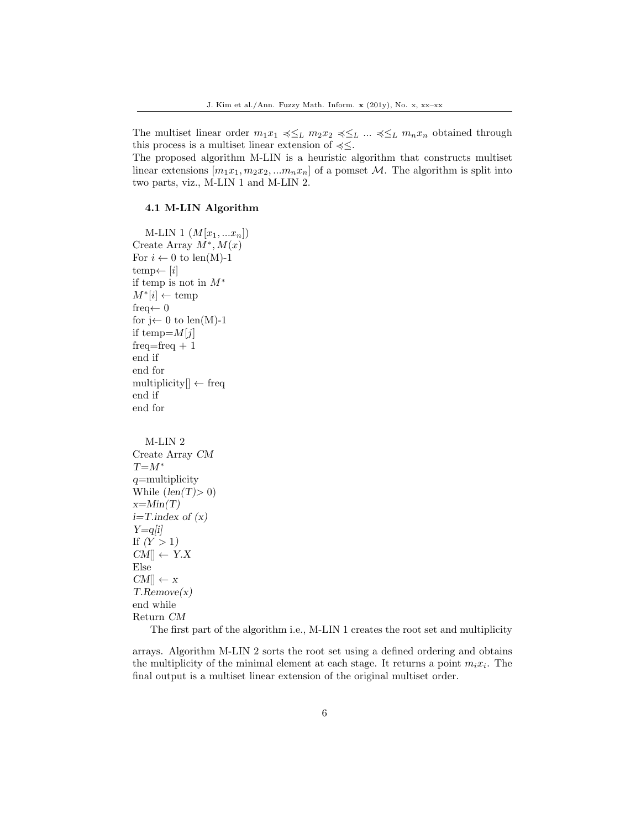The multiset linear order  $m_1x_1 \preccurlyeq \leq_L m_2x_2 \preccurlyeq \leq_L \ldots \preccurlyeq \leq_L m_nx_n$  obtained through this process is a multiset linear extension of  $\leq \leq$ .

The proposed algorithm M-LIN is a heuristic algorithm that constructs multiset linear extensions  $[m_1x_1, m_2x_2, ...m_nx_n]$  of a pomset M. The algorithm is split into two parts, viz., M-LIN 1 and M-LIN 2.

### 4.1 M-LIN Algorithm

```
M-LIN 1 (M[x_1,...x_n])Create Array M^*, M(x)For i \leftarrow 0 to len(M)-1
temp\leftarrow [i]if temp is not in M^\astM^*[i] \leftarrow \text{temp}freq \leftarrow 0for j \leftarrow 0 to len(M)-1
if temp=M[j]freq = freq + 1end if
end for
multiplicity[] \leftarrow \text{freq}end if
end for
   M-LIN 2
Create Array CM
T=M^*q=multiplicity
While (len(T) > 0)i=T.index of (x)
```
 $x=Min(T)$  $Y=q[i]$ If  $(Y > 1)$  $CM \rightarrow Y.X$ Else  $CM[] \leftarrow x$ T.Remove(x) end while Return CM

The first part of the algorithm i.e., M-LIN 1 creates the root set and multiplicity

arrays. Algorithm M-LIN 2 sorts the root set using a defined ordering and obtains the multiplicity of the minimal element at each stage. It returns a point  $m_i x_i$ . The final output is a multiset linear extension of the original multiset order.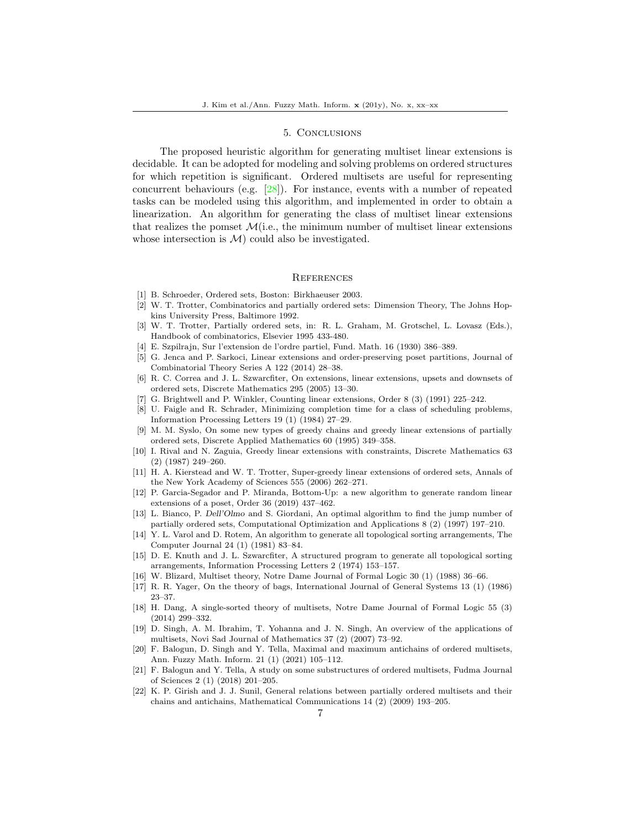### 5. Conclusions

The proposed heuristic algorithm for generating multiset linear extensions is decidable. It can be adopted for modeling and solving problems on ordered structures for which repetition is significant. Ordered multisets are useful for representing concurrent behaviours (e.g. [\[28\]](#page-7-5)). For instance, events with a number of repeated tasks can be modeled using this algorithm, and implemented in order to obtain a linearization. An algorithm for generating the class of multiset linear extensions that realizes the pomset  $\mathcal{M}(i.e.,$  the minimum number of multiset linear extensions whose intersection is  $\mathcal{M}$  could also be investigated.

#### **REFERENCES**

- <span id="page-6-0"></span>[1] B. Schroeder, Ordered sets, Boston: Birkhaeuser 2003.
- <span id="page-6-1"></span>[2] W. T. Trotter, Combinatorics and partially ordered sets: Dimension Theory, The Johns Hopkins University Press, Baltimore 1992.
- <span id="page-6-2"></span>[3] W. T. Trotter, Partially ordered sets, in: R. L. Graham, M. Grotschel, L. Lovasz (Eds.), Handbook of combinatorics, Elsevier 1995 433-480.
- <span id="page-6-3"></span>[4] E. Szpilrajn, Sur l'extension de l'ordre partiel, Fund. Math. 16 (1930) 386–389.
- <span id="page-6-4"></span>[5] G. Jenca and P. Sarkoci, Linear extensions and order-preserving poset partitions, Journal of Combinatorial Theory Series A 122 (2014) 28–38.
- <span id="page-6-5"></span>[6] R. C. Correa and J. L. Szwarcfiter, On extensions, linear extensions, upsets and downsets of ordered sets, Discrete Mathematics 295 (2005) 13–30.
- <span id="page-6-6"></span>[7] G. Brightwell and P. Winkler, Counting linear extensions, Order 8 (3) (1991) 225–242.
- <span id="page-6-7"></span>[8] U. Faigle and R. Schrader, Minimizing completion time for a class of scheduling problems, Information Processing Letters 19 (1) (1984) 27–29.
- <span id="page-6-8"></span>[9] M. M. Syslo, On some new types of greedy chains and greedy linear extensions of partially ordered sets, Discrete Applied Mathematics 60 (1995) 349–358.
- <span id="page-6-9"></span>[10] I. Rival and N. Zaguia, Greedy linear extensions with constraints, Discrete Mathematics 63 (2) (1987) 249–260.
- <span id="page-6-10"></span>[11] H. A. Kierstead and W. T. Trotter, Super-greedy linear extensions of ordered sets, Annals of the New York Academy of Sciences 555 (2006) 262–271.
- <span id="page-6-11"></span>[12] P. Garcia-Segador and P. Miranda, Bottom-Up: a new algorithm to generate random linear extensions of a poset, Order 36 (2019) 437–462.
- <span id="page-6-12"></span>[13] L. Bianco, P. Dell'Olmo and S. Giordani, An optimal algorithm to find the jump number of partially ordered sets, Computational Optimization and Applications 8 (2) (1997) 197–210.
- <span id="page-6-13"></span>[14] Y. L. Varol and D. Rotem, An algorithm to generate all topological sorting arrangements, The Computer Journal 24 (1) (1981) 83–84.
- <span id="page-6-14"></span>[15] D. E. Knuth and J. L. Szwarcfiter, A structured program to generate all topological sorting arrangements, Information Processing Letters 2 (1974) 153–157.
- <span id="page-6-15"></span>[16] W. Blizard, Multiset theory, Notre Dame Journal of Formal Logic 30 (1) (1988) 36–66.
- <span id="page-6-16"></span>[17] R. R. Yager, On the theory of bags, International Journal of General Systems 13 (1) (1986) 23–37.
- <span id="page-6-17"></span>[18] H. Dang, A single-sorted theory of multisets, Notre Dame Journal of Formal Logic 55 (3) (2014) 299–332.
- <span id="page-6-18"></span>[19] D. Singh, A. M. Ibrahim, T. Yohanna and J. N. Singh, An overview of the applications of multisets, Novi Sad Journal of Mathematics 37 (2) (2007) 73–92.
- <span id="page-6-19"></span>[20] F. Balogun, D. Singh and Y. Tella, Maximal and maximum antichains of ordered multisets, Ann. Fuzzy Math. Inform. 21 (1) (2021) 105–112.
- <span id="page-6-20"></span>[21] F. Balogun and Y. Tella, A study on some substructures of ordered multisets, Fudma Journal of Sciences 2 (1) (2018) 201–205.
- <span id="page-6-21"></span>[22] K. P. Girish and J. J. Sunil, General relations between partially ordered multisets and their chains and antichains, Mathematical Communications 14 (2) (2009) 193–205.